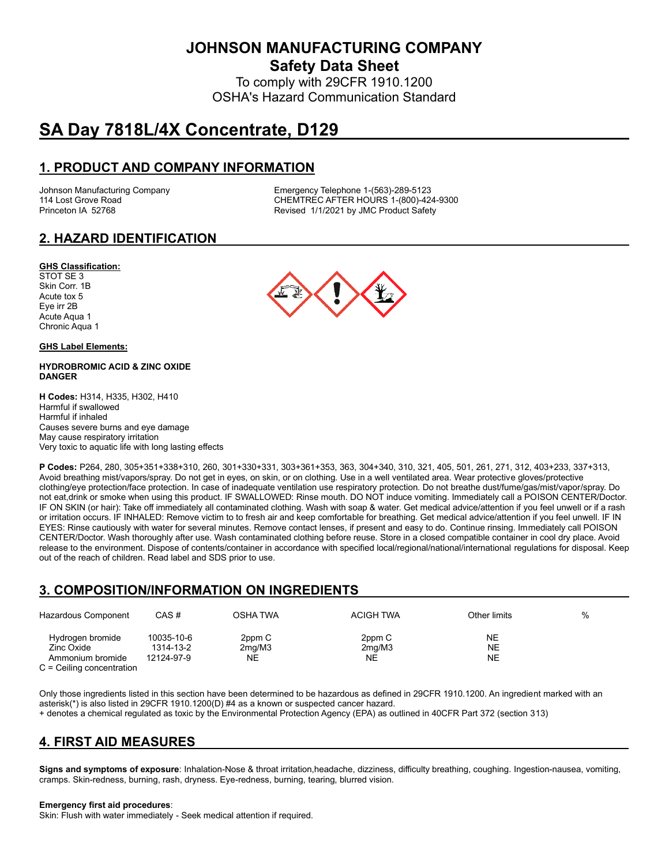**JOHNSON MANUFACTURING COMPANY**

**Safety Data Sheet**

To comply with 29CFR 1910.1200 OSHA's Hazard Communication Standard

# **SA Day 7818L/4X Concentrate, D129**

# **1. PRODUCT AND COMPANY INFORMATION**

Johnson Manufacturing Company Emergency Telephone 1-(563)-289-5123 114 Lost Grove Road **CHEMTREC AFTER HOURS 1-(800)-424-9300**<br>Princeton IA 52768 **CHEMTREC AFTER HOURS 1-(800)-424-9300** Revised 1/1/2021 by JMC Product Safety

# **2. HAZARD IDENTIFICATION**

### **GHS Classification:**

STOT SE 3 Skin Corr. 1B Acute tox 5 Eye irr 2B Acute Aqua 1 Chronic Aqua 1

### **GHS Label Elements:**

### **HYDROBROMIC ACID & ZINC OXIDE DANGER**

**H Codes:** H314, H335, H302, H410 Harmful if swallowed Harmful if inhaled Causes severe burns and eye damage May cause respiratory irritation Very toxic to aquatic life with long lasting effects



### **3. COMPOSITION/INFORMATION ON INGREDIENTS**

| Hazardous Component                                                               | CAS #                                 | OSHA TWA               | <b>ACIGH TWA</b>       | Other limits   | % |
|-----------------------------------------------------------------------------------|---------------------------------------|------------------------|------------------------|----------------|---|
| Hydrogen bromide<br>Zinc Oxide<br>Ammonium bromide<br>$C =$ Ceiling concentration | 10035-10-6<br>1314-13-2<br>12124-97-9 | 2ppm C<br>2mg/M3<br>NE | 2ppm C<br>2mg/M3<br>NE | NE<br>NE<br>NE |   |

Only those ingredients listed in this section have been determined to be hazardous as defined in 29CFR 1910.1200. An ingredient marked with an asterisk(\*) is also listed in 29CFR 1910.1200(D) #4 as a known or suspected cancer hazard.

+ denotes a chemical regulated as toxic by the Environmental Protection Agency (EPA) as outlined in 40CFR Part 372 (section 313)

# **4. FIRST AID MEASURES**

**Signs and symptoms of exposure**: Inhalation-Nose & throat irritation,headache, dizziness, difficulty breathing, coughing. Ingestion-nausea, vomiting, cramps. Skin-redness, burning, rash, dryness. Eye-redness, burning, tearing, blurred vision.

#### **Emergency first aid procedures**:

Skin: Flush with water immediately - Seek medical attention if required.

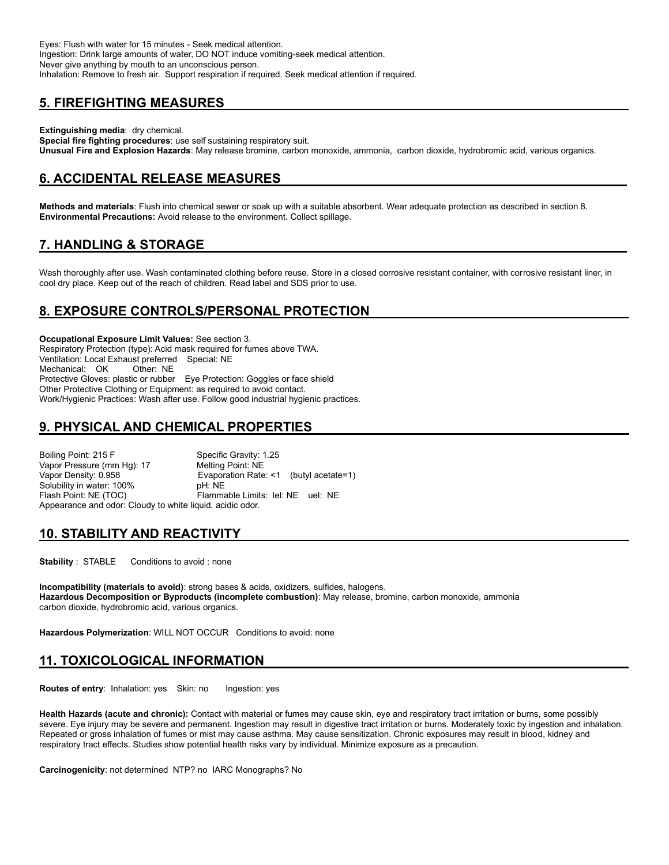Eyes: Flush with water for 15 minutes - Seek medical attention. Ingestion: Drink large amounts of water, DO NOT induce vomiting-seek medical attention. Never give anything by mouth to an unconscious person. Inhalation: Remove to fresh air. Support respiration if required. Seek medical attention if required.

# **5. FIREFIGHTING MEASURES**

**Extinguishing media**: dry chemical.

**Special fire fighting procedures**: use self sustaining respiratory suit. **Unusual Fire and Explosion Hazards**: May release bromine, carbon monoxide, ammonia, carbon dioxide, hydrobromic acid, various organics.

# **6. ACCIDENTAL RELEASE MEASURES**

**Methods and materials**: Flush into chemical sewer or soak up with a suitable absorbent. Wear adequate protection as described in section 8. **Environmental Precautions:** Avoid release to the environment. Collect spillage.

# **7. HANDLING & STORAGE**

Wash thoroughly after use. Wash contaminated clothing before reuse. Store in a closed corrosive resistant container, with corrosive resistant liner, in cool dry place. Keep out of the reach of children. Read label and SDS prior to use.

# **8. EXPOSURE CONTROLS/PERSONAL PROTECTION**

**Occupational Exposure Limit Values:** See section 3. Respiratory Protection (type): Acid mask required for fumes above TWA. Ventilation: Local Exhaust preferred Special: NE Mechanical: OK Protective Gloves: plastic or rubber Eye Protection: Goggles or face shield Other Protective Clothing or Equipment: as required to avoid contact. Work/Hygienic Practices: Wash after use. Follow good industrial hygienic practices.

# **9. PHYSICAL AND CHEMICAL PROPERTIES**

Boiling Point: 215 F Specific Gravity: 1.25 Vapor Pressure (mm Hg): 17 Melting Point: NE Vapor Density: 0.958 **Evaporation Rate: <1** (butyl acetate=1)<br>Solubility in water: 100% **Example: NE** Solubility in water: 100% Flash Point: NE (TOC) Flammable Limits: lel: NE uel: NE Appearance and odor: Cloudy to white liquid, acidic odor.

# **10. STABILITY AND REACTIVITY**

**Stability** : STABLE Conditions to avoid : none

**Incompatibility (materials to avoid)**: strong bases & acids, oxidizers, sulfides, halogens. **Hazardous Decomposition or Byproducts (incomplete combustion)**: May release, bromine, carbon monoxide, ammonia carbon dioxide, hydrobromic acid, various organics.

**Hazardous Polymerization**: WILL NOT OCCUR Conditions to avoid: none

# **11. TOXICOLOGICAL INFORMATION**

**Routes of entry:** Inhalation: yes Skin: no Ingestion: yes

**Health Hazards (acute and chronic):** Contact with material or fumes may cause skin, eye and respiratory tract irritation or burns, some possibly severe. Eye injury may be severe and permanent. Ingestion may result in digestive tract irritation or burns. Moderately toxic by ingestion and inhalation. Repeated or gross inhalation of fumes or mist may cause asthma. May cause sensitization. Chronic exposures may result in blood, kidney and respiratory tract effects. Studies show potential health risks vary by individual. Minimize exposure as a precaution.

**Carcinogenicity**: not determined NTP? no IARC Monographs? No